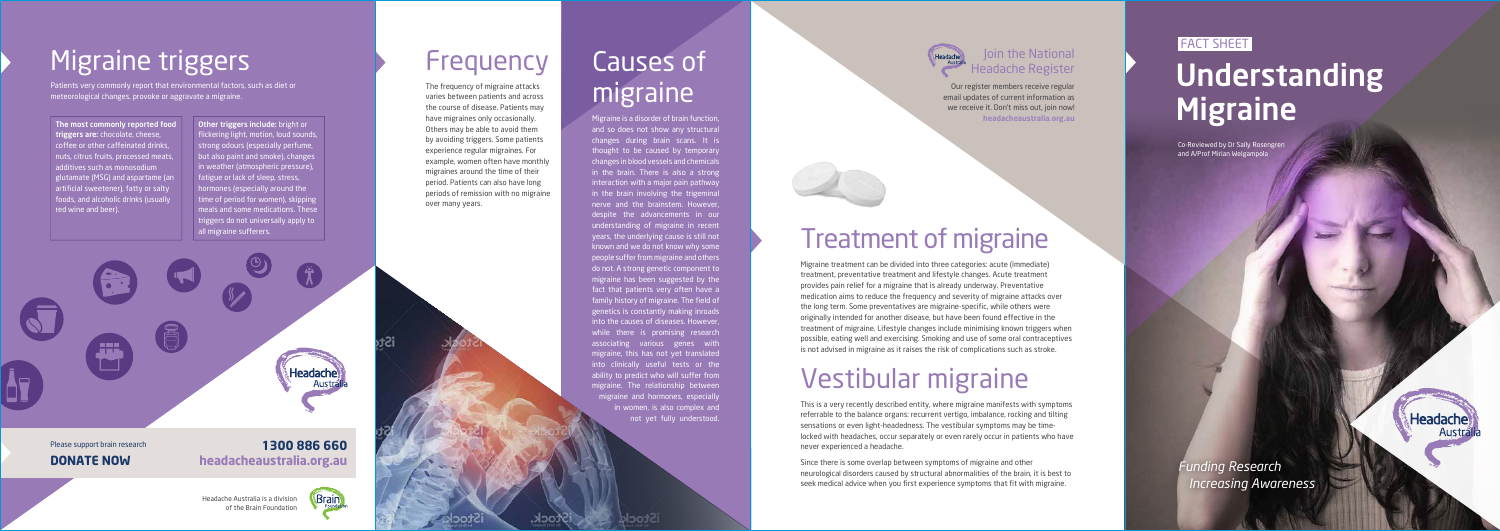#### **1300 886 660 headacheaustralia.org.au**

Brain

Please support brain research **DONATE NOW**

Other triggers include: bright or flickering light, motion, loud sounds, strong odours (especially perfume, but also paint and smoke), changes in weather (atmospheric pressure), fatigue or lack of sleep, stress, hormones (especially around the time of period for women), skipping meals and some medications. These triggers do not universally apply to all migraine sufferers.



and so does not show any structural changes during brain scans. It is thought to be caused by temporary changes in blood vessels and chemicals in the brain. There is also a strong interaction with a major pain pathway in the brain involving the trigeminal nerve and the brainstem. However, despite the advancements in our understanding of migraine in recent years, the underlying cause is still not known and we do not know why some people suffer from migraine and others do not. A strong genetic component to migraine has been suggested by the fact that patients very often have a family history of migraine. The field of genetics is constantly making inroads into the causes of diseases. However, while there is promising research associating various genes with migraine, this has not yet translated into clinically useful tests or the ability to predict who will suffer from migraine. The relationship between migraine and hormones, especially in women, is also complex and not yet fully understood.

# Causes of migraine

# Migraine triggers

Patients very commonly report that environmental factors, such as diet or meteorological changes, provoke or aggravate a migraine.

The most commonly reported food triggers are: chocolate, cheese, coffee or other caffeinated drinks, nuts, citrus fruits, processed meats, additives such as monosodium glutamate (MSG) and aspartame (an artificial sweetener), fatty or salty foods, and alcoholic drinks (usually red wine and beer).

#### **Join the National** Headache Register

### Treatment of migraine

THISIQIIIU ANISICIIII COMPONENTII COMPONENTII COMPONENTII COMPONENTII COMPONENTII COMPONENTII COMPONENTII COMPONENTII COMPONENTII COMPONENTII COMPONENTII COMPONENTII COMPONENTII COMPONENTII COMPONENTII COMPONENTII COMPONEN Our register members receive regular email updates of current information as we receive it. Don't miss out, join now! **headacheaustralia.org.au**

> Migraine treatment can be divided into three categories: acute (immediate) treatment, preventative treatment and lifestyle changes. Acute treatment provides pain relief for a migraine that is already underway. Preventative medication aims to reduce the frequency and severity of migraine attacks over the long term. Some preventatives are migraine-specific, while others were originally intended for another disease, but have been found effective in the treatment of migraine. Lifestyle changes include minimising known triggers when possible, eating well and exercising. Smoking and use of some oral contraceptives is not advised in migraine as it raises the risk of complications such as stroke.

### Vestibular migraine

This is a very recently described entity, where migraine manifests with symptoms referrable to the balance organs: recurrent vertigo, imbalance, rocking and tilting sensations or even light-headedness. The vestibular symptoms may be timelocked with headaches, occur separately or even rarely occur in patients who have never experienced a headache.

Since there is some overlap between symptoms of migraine and other neurological disorders caused by structural abnormalities of the brain, it is best to seek medical advice when you first experience symptoms that fit with migraine.

#### **FACT SHEET**

# **Understanding**

Frequency



iSto

have migraines only occasionally. Others may be able to avoid them by avoiding triggers. Some patients experience regular migraines. For example, women often have monthly migraines around the time of their period. Patients can also have long periods of remission with no migraine over many years.

Headache Australia is a division of the Brain Foundation *Funding Research Increasing Awareness* Headache

Co-Reviewed by Dr Sally Rosengren and A/Prof Mirian Welgampola